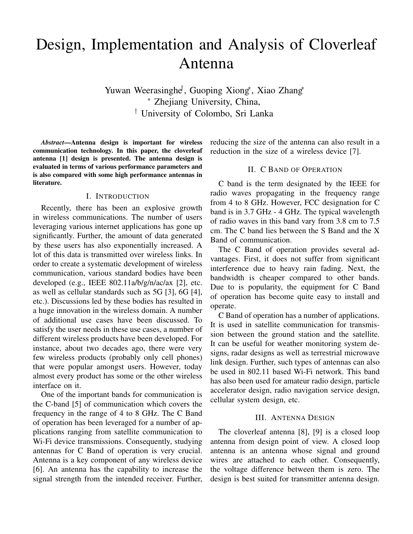# Design, Implementation and Analysis of Cloverleaf Antenna

Yuwan Weerasinghe<sup>†</sup>, Guoping Xiong<sup>∗</sup>, Xiao Zhang<sup>∗</sup> <sup>∗</sup> Zhejiang University, China, † University of Colombo, Sri Lanka

*Abstract*—Antenna design is important for wireless communication technology. In this paper, the cloverleaf antenna [1] design is presented. The antenna design is evaluated in terms of various performance parameters and is also compared with some high performance antennas in literature.

## I. INTRODUCTION

Recently, there has been an explosive growth in wireless communications. The number of users leveraging various internet applications has gone up significantly. Further, the amount of data generated by these users has also exponentially increased. A lot of this data is transmitted over wireless links. In order to create a systematic development of wireless communication, various standard bodies have been developed (e.g., IEEE 802.11a/b/g/n/ac/ax [2], etc. as well as cellular standards such as 5G [3], 6G [4], etc.). Discussions led by these bodies has resulted in a huge innovation in the wireless domain. A number of additional use cases have been discussed. To satisfy the user needs in these use cases, a number of different wireless products have been developed. For instance, about two decades ago, there were very few wireless products (probably only cell phones) that were popular amongst users. However, today almost every product has some or the other wireless interface on it.

One of the important bands for communication is the C-band [5] of communication which covers the frequency in the range of 4 to 8 GHz. The C Band of operation has been leveraged for a number of applications ranging from satellite communication to Wi-Fi device transmissions. Consequently, studying antennas for C Band of operation is very crucial. Antenna is a key component of any wireless device [6]. An antenna has the capability to increase the signal strength from the intended receiver. Further, reducing the size of the antenna can also result in a reduction in the size of a wireless device [7].

# II. C BAND OF OPERATION

C band is the term designated by the IEEE for radio waves propagating in the frequency range from 4 to 8 GHz. However, FCC designation for C band is in 3.7 GHz - 4 GHz. The typical wavelength of radio waves in this band vary from 3.8 cm to 7.5 cm. The C band lies between the S Band and the X Band of communication.

The C Band of operation provides several advantages. First, it does not suffer from significant interference due to heavy rain fading. Next, the bandwidth is cheaper compared to other bands. Due to is popularity, the equipment for C Band of operation has become quite easy to install and operate.

C Band of operation has a number of applications. It is used in satellite communication for transmission between the ground station and the satellite. It can be useful for weather monitoring system designs, radar designs as well as terrestrial microwave link design. Further, such types of antennas can also be used in 802.11 based Wi-Fi network. This band has also been used for amateur radio design, particle accelerator design, radio navigation service design, cellular system design, etc.

### III. ANTENNA DESIGN

The cloverleaf antenna [8], [9] is a closed loop antenna from design point of view. A closed loop antenna is an antenna whose signal and ground wires are attached to each other. Consequently, the voltage difference between them is zero. The design is best suited for transmitter antenna design.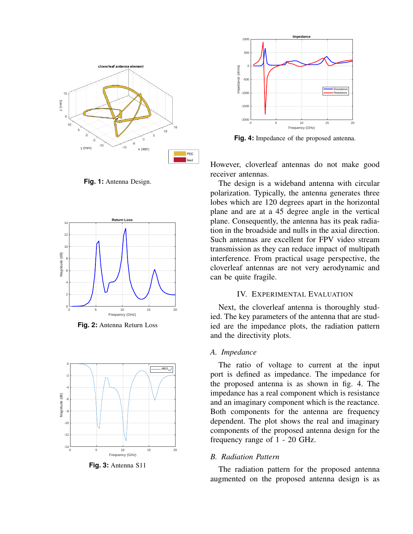

**Fig. 1:** Antenna Design.



**Fig. 2:** Antenna Return Loss



**Fig. 3:** Antenna S11



**Fig. 4:** Impedance of the proposed antenna.

However, cloverleaf antennas do not make good receiver antennas.

The design is a wideband antenna with circular polarization. Typically, the antenna generates three lobes which are 120 degrees apart in the horizontal plane and are at a 45 degree angle in the vertical plane. Consequently, the antenna has its peak radiation in the broadside and nulls in the axial direction. Such antennas are excellent for FPV video stream transmission as they can reduce impact of multipath interference. From practical usage perspective, the cloverleaf antennas are not very aerodynamic and can be quite fragile.

### IV. EXPERIMENTAL EVALUATION

Next, the cloverleaf antenna is thoroughly studied. The key parameters of the antenna that are studied are the impedance plots, the radiation pattern and the directivity plots.

# *A. Impedance*

The ratio of voltage to current at the input port is defined as impedance. The impedance for the proposed antenna is as shown in fig. 4. The impedance has a real component which is resistance and an imaginary component which is the reactance. Both components for the antenna are frequency dependent. The plot shows the real and imaginary components of the proposed antenna design for the frequency range of 1 - 20 GHz.

## *B. Radiation Pattern*

The radiation pattern for the proposed antenna augmented on the proposed antenna design is as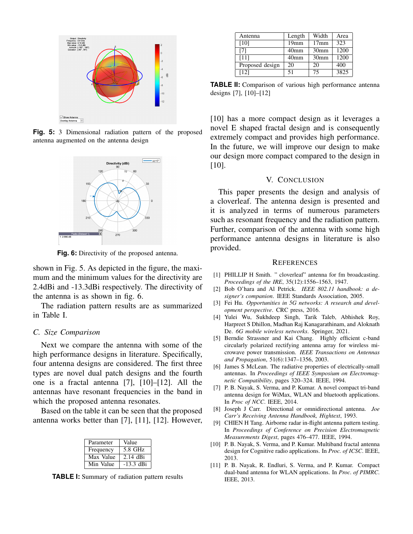

**Fig. 5:** 3 Dimensional radiation pattern of the proposed antenna augmented on the antenna design



**Fig. 6:** Directivity of the proposed antenna.

shown in Fig. 5. As depicted in the figure, the maximum and the minimum values for the directivity are 2.4dBi and -13.3dBi respectively. The directivity of the antenna is as shown in fig. 6.

The radiation pattern results are as summarized in Table I.

#### *C. Size Comparison*

Next we compare the antenna with some of the high performance designs in literature. Specifically, four antenna designs are considered. The first three types are novel dual patch designs and the fourth one is a fractal antenna [7], [10]–[12]. All the antennas have resonant frequencies in the band in which the proposed antenna resonates.

Based on the table it can be seen that the proposed antenna works better than [7], [11], [12]. However,

| Parameter | Value      |
|-----------|------------|
| Frequency | 5.8 GHz    |
| Max Value | $2.14$ dBi |
| Min Value | -13.3 dBi  |

**TABLE I:** Summary of radiation pattern results

| Antenna         | Length           | Width            | Area |
|-----------------|------------------|------------------|------|
| [10]            | 19 <sub>mm</sub> | 17 <sub>mm</sub> | 323  |
| [7]             | 40 <sub>mm</sub> | 30 <sub>mm</sub> | 1200 |
| [11]            | 40 <sub>mm</sub> | 30 <sub>mm</sub> | 1200 |
| Proposed design | 20               | 20               | 400  |
| [12]            | 51               | 75               | 3825 |

**TABLE II:** Comparison of various high performance antenna designs [7], [10]–[12]

[10] has a more compact design as it leverages a novel E shaped fractal design and is consequently extremely compact and provides high performance. In the future, we will improve our design to make our design more compact compared to the design in [10].

### V. CONCLUSION

This paper presents the design and analysis of a cloverleaf. The antenna design is presented and it is analyzed in terms of numerous parameters such as resonant frequency and the radiation pattern. Further, comparison of the antenna with some high performance antenna designs in literature is also provided.

#### **REFERENCES**

- [1] PHILLIP H Smith. " cloverleaf" antenna for fm broadcasting. *Proceedings of the IRE*, 35(12):1556–1563, 1947.
- [2] Bob O'hara and Al Petrick. *IEEE 802.11 handbook: a designer's companion*. IEEE Standards Association, 2005.
- [3] Fei Hu. *Opportunities in 5G networks: A research and development perspective*. CRC press, 2016.
- [4] Yulei Wu, Sukhdeep Singh, Tarik Taleb, Abhishek Roy, Harpreet S Dhillon, Madhan Raj Kanagarathinam, and Aloknath De. *6G mobile wireless networks*. Springer, 2021.
- [5] Berndie Strassner and Kai Chang. Highly efficient c-band circularly polarized rectifying antenna array for wireless microwave power transmission. *IEEE Transactions on Antennas and Propagation*, 51(6):1347–1356, 2003.
- [6] James S McLean. The radiative properties of electrically-small antennas. In *Proceedings of IEEE Symposium on Electromagnetic Compatibility*, pages 320–324. IEEE, 1994.
- [7] P. B. Nayak, S. Verma, and P. Kumar. A novel compact tri-band antenna design for WiMax, WLAN and bluetooth applications. In *Proc of NCC*. IEEE, 2014.
- [8] Joseph J Carr. Directional or omnidirectional antenna. *Joe Carr's Receiving Antenna Handbook, Hightext*, 1993.
- [9] CHIEN H Tang. Airborne radar in-flight antenna pattern testing. In *Proceedings of Conference on Precision Electromagnetic Measurements Digest*, pages 476–477. IEEE, 1994.
- [10] P. B. Nayak, S. Verma, and P. Kumar. Multiband fractal antenna design for Cognitive radio applications. In *Proc. of ICSC*. IEEE, 2013.
- [11] P. B. Nayak, R. Endluri, S. Verma, and P. Kumar. Compact dual-band antenna for WLAN applications. In *Proc. of PIMRC*. IEEE, 2013.